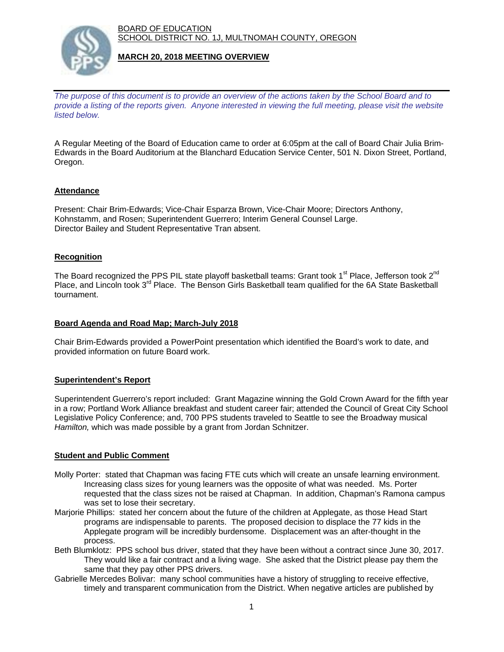BOARD OF EDUCATION SCHOOL DISTRICT NO. 1J, MULTNOMAH COUNTY, OREGON



### **MARCH 20, 2018 MEETING OVERVIEW**

*The purpose of this document is to provide an overview of the actions taken by the School Board and to provide a listing of the reports given. Anyone interested in viewing the full meeting, please visit the website listed below.*

A Regular Meeting of the Board of Education came to order at 6:05pm at the call of Board Chair Julia Brim-Edwards in the Board Auditorium at the Blanchard Education Service Center, 501 N. Dixon Street, Portland, Oregon.

## **Attendance**

Present: Chair Brim-Edwards; Vice-Chair Esparza Brown, Vice-Chair Moore; Directors Anthony, Kohnstamm, and Rosen; Superintendent Guerrero; Interim General Counsel Large. Director Bailey and Student Representative Tran absent.

### **Recognition**

The Board recognized the PPS PIL state playoff basketball teams: Grant took 1<sup>st</sup> Place, Jefferson took 2<sup>nd</sup> Place, and Lincoln took 3<sup>rd</sup> Place. The Benson Girls Basketball team qualified for the 6A State Basketball tournament.

### **Board Agenda and Road Map; March-July 2018**

Chair Brim-Edwards provided a PowerPoint presentation which identified the Board's work to date, and provided information on future Board work.

#### **Superintendent's Report**

Superintendent Guerrero's report included: Grant Magazine winning the Gold Crown Award for the fifth year in a row; Portland Work Alliance breakfast and student career fair; attended the Council of Great City School Legislative Policy Conference; and, 700 PPS students traveled to Seattle to see the Broadway musical *Hamilton,* which was made possible by a grant from Jordan Schnitzer.

#### **Student and Public Comment**

- Molly Porter: stated that Chapman was facing FTE cuts which will create an unsafe learning environment. Increasing class sizes for young learners was the opposite of what was needed. Ms. Porter requested that the class sizes not be raised at Chapman. In addition, Chapman's Ramona campus was set to lose their secretary.
- Marjorie Phillips: stated her concern about the future of the children at Applegate, as those Head Start programs are indispensable to parents. The proposed decision to displace the 77 kids in the Applegate program will be incredibly burdensome. Displacement was an after-thought in the process.
- Beth Blumklotz: PPS school bus driver, stated that they have been without a contract since June 30, 2017. They would like a fair contract and a living wage. She asked that the District please pay them the same that they pay other PPS drivers.
- Gabrielle Mercedes Bolivar: many school communities have a history of struggling to receive effective, timely and transparent communication from the District. When negative articles are published by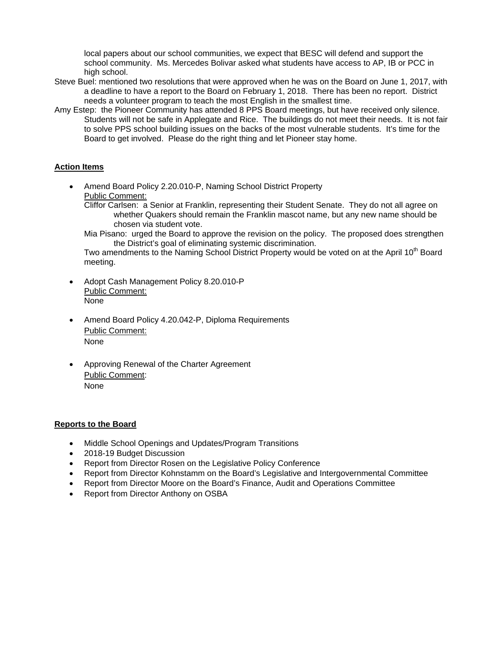local papers about our school communities, we expect that BESC will defend and support the school community. Ms. Mercedes Bolivar asked what students have access to AP, IB or PCC in high school.

- Steve Buel: mentioned two resolutions that were approved when he was on the Board on June 1, 2017, with a deadline to have a report to the Board on February 1, 2018. There has been no report. District needs a volunteer program to teach the most English in the smallest time.
- Amy Estep: the Pioneer Community has attended 8 PPS Board meetings, but have received only silence. Students will not be safe in Applegate and Rice. The buildings do not meet their needs. It is not fair to solve PPS school building issues on the backs of the most vulnerable students. It's time for the Board to get involved. Please do the right thing and let Pioneer stay home.

# **Action Items**

- Amend Board Policy 2.20.010-P, Naming School District Property Public Comment:
	- Cliffor Carlsen: a Senior at Franklin, representing their Student Senate. They do not all agree on whether Quakers should remain the Franklin mascot name, but any new name should be chosen via student vote.
	- Mia Pisano: urged the Board to approve the revision on the policy. The proposed does strengthen the District's goal of eliminating systemic discrimination.

Two amendments to the Naming School District Property would be voted on at the April 10<sup>th</sup> Board meeting.

- Adopt Cash Management Policy 8.20.010-P Public Comment: None
- Amend Board Policy 4.20.042-P, Diploma Requirements Public Comment: None
- Approving Renewal of the Charter Agreement Public Comment: None

## **Reports to the Board**

- Middle School Openings and Updates/Program Transitions
- 2018-19 Budget Discussion
- Report from Director Rosen on the Legislative Policy Conference
- Report from Director Kohnstamm on the Board's Legislative and Intergovernmental Committee
- Report from Director Moore on the Board's Finance, Audit and Operations Committee
- Report from Director Anthony on OSBA